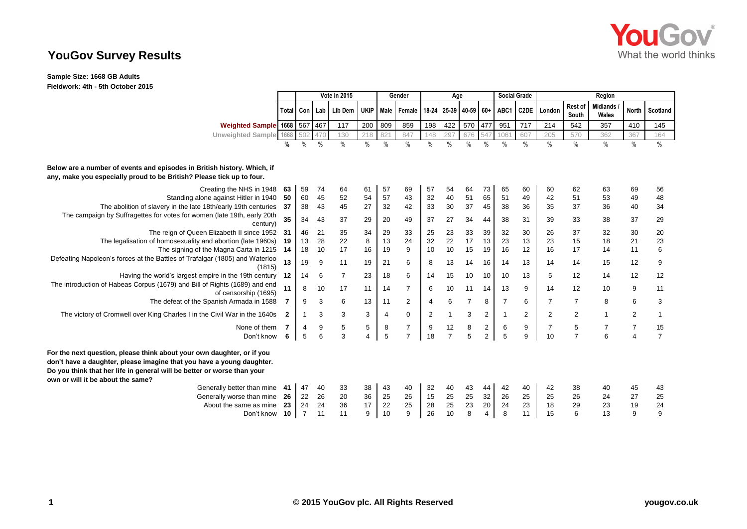

## **YouGov Survey Results**

**Sample Size: 1668 GB Adults Fieldwork: 4th - 5th October 2015**

|                                                                                                                                                                                                                                                                 |     | Vote in 2015     |               |                | Gender      |                | Age            |                |                |                 | <b>Social Grade</b> |                | Region            |                |                  |                          |                |                |
|-----------------------------------------------------------------------------------------------------------------------------------------------------------------------------------------------------------------------------------------------------------------|-----|------------------|---------------|----------------|-------------|----------------|----------------|----------------|----------------|-----------------|---------------------|----------------|-------------------|----------------|------------------|--------------------------|----------------|----------------|
|                                                                                                                                                                                                                                                                 |     | <b>Total Con</b> | Lab           | Lib Dem        | <b>UKIP</b> | Male           | Female I       | 18-24          |                | 25-39 40-59 60+ |                     | ABC1           | C <sub>2</sub> DE | London         | Rest of<br>South | <b>Midlands</b><br>Wales | <b>North</b>   | Scotland       |
| Weighted Sample 1668 567 467                                                                                                                                                                                                                                    |     |                  |               | 117            | 200         | 809            | 859            | 198            | 422            | 570             | 477                 | 951            | 717               | 214            | 542              | 357                      | 410            | 145            |
| Unweighted Sample 1668 502                                                                                                                                                                                                                                      |     |                  | 470           | 130            | 218         | 821            | 847            | 148            | 297            | 676             | 547                 | 1061           | 607               | 205            | 570              | 362                      | 367            | 164            |
|                                                                                                                                                                                                                                                                 | %   | $\%$             | $\frac{0}{0}$ | $\frac{0}{0}$  | $\%$        | $\%$           | $\frac{0}{0}$  | $\%$           | $\frac{0}{0}$  | $\frac{0}{0}$   | $\frac{0}{0}$       | $\%$           | $\%$              | $\%$           | $\%$             | $\%$                     | $\%$           | $\frac{0}{0}$  |
| Below are a number of events and episodes in British history. Which, if<br>any, make you especially proud to be British? Please tick up to four.                                                                                                                |     |                  |               |                |             |                |                |                |                |                 |                     |                |                   |                |                  |                          |                |                |
| Creating the NHS in 1948                                                                                                                                                                                                                                        | 63  | 59               | 74            | 64             | 61          | 57             | 69             | 57             | 54             | 64              | 73                  | 65             | 60                | 60             | 62               | 63                       | 69             | 56             |
| Standing alone against Hitler in 1940                                                                                                                                                                                                                           | 50  | 60               | 45            | 52             | 54          | 57             | 43             | 32             | 40             | 51              | 65                  | 51             | 49                | 42             | 51               | 53                       | 49             | 48             |
| The abolition of slavery in the late 18th/early 19th centuries 37                                                                                                                                                                                               |     | 38               | 43            | 45             | 27          | 32             | 42             | 33             | 30             | 37              | 45                  | 38             | 36                | 35             | 37               | 36                       | 40             | 34             |
| The campaign by Suffragettes for votes for women (late 19th, early 20th<br>century)                                                                                                                                                                             | 35  | 34               | 43            | 37             | 29          | 20             | 49             | 37             | 27             | 34              | 44                  | 38             | 31                | 39             | 33               | 38                       | 37             | 29             |
| The reign of Queen Elizabeth II since 1952 31                                                                                                                                                                                                                   |     | 46               | 21            | 35             | 34          | 29             | 33             | 25             | 23             | 33              | 39                  | 32             | 30                | 26             | 37               | 32                       | 30             | 20             |
| The legalisation of homosexuality and abortion (late 1960s) 19                                                                                                                                                                                                  |     | 13               | 28            | 22             | 8           | 13             | 24             | 32             | 22             | 17              | 13                  | 23             | 13                | 23             | 15               | 18                       | 21             | 23             |
| The signing of the Magna Carta in 1215 14                                                                                                                                                                                                                       |     | 18               | 10            | 17             | 16          | 19             | 9              | 10             | 10             | 15              | 19                  | 16             | 12                | 16             | 17               | 14                       | 11             | $\,6$          |
| Defeating Napoleon's forces at the Battles of Trafalgar (1805) and Waterloo<br>(1815)                                                                                                                                                                           | 13  | 19               | 9             | 11             | 19          | 21             | 6              | 8              | 13             | 14              | 16                  | 14             | 13                | 14             | 14               | 15                       | 12             | 9              |
| Having the world's largest empire in the 19th century                                                                                                                                                                                                           | 12  | 14               | 6             | $\overline{7}$ | 23          | 18             | 6              | 14             | 15             | 10              | 10                  | 10             | 13                | 5              | 12               | 14                       | 12             | 12             |
| The introduction of Habeas Corpus (1679) and Bill of Rights (1689) and end<br>of censorship (1695)                                                                                                                                                              | 11  | 8                | 10            | 17             | 11          | 14             | $\overline{7}$ | 6              | 10             | 11              | 14                  | 13             | 9                 | 14             | 12               | 10                       | 9              | 11             |
| The defeat of the Spanish Armada in 1588                                                                                                                                                                                                                        |     | 9                | 3             | 6              | 13          | 11             | 2              | 4              | 6              | $\overline{7}$  | 8                   | $\overline{7}$ | 6                 | 7              | $\overline{7}$   | 8                        | 6              | 3              |
| The victory of Cromwell over King Charles I in the Civil War in the 1640s                                                                                                                                                                                       | -2  | $\mathbf{1}$     | 3             | 3              | 3           | $\overline{4}$ | 0              | $\overline{2}$ |                | 3               | 2                   |                | $\overline{2}$    | $\overline{2}$ | $\overline{2}$   | $\mathbf 1$              | 2              | $\mathbf{1}$   |
| None of them                                                                                                                                                                                                                                                    |     | $\boldsymbol{4}$ | 9             | 5              | 5           | 8              | 7              | 9              | 12             | 8               | $\overline{c}$      | 6              | 9                 | $\overline{7}$ | 5                |                          | $\overline{7}$ | 15             |
| Don't know                                                                                                                                                                                                                                                      | 6   | 5                |               | 3              | 4           | 5              | $\overline{7}$ | 18             | $\overline{7}$ | 5               | $\overline{2}$      | 5              | 9                 | 10             | $\overline{7}$   | 6                        | $\overline{4}$ | $\overline{7}$ |
| For the next question, please think about your own daughter, or if you<br>don't have a daughter, please imagine that you have a young daughter.<br>Do you think that her life in general will be better or worse than your<br>own or will it be about the same? |     |                  |               |                |             |                |                |                |                |                 |                     |                |                   |                |                  |                          |                |                |
| Generally better than mine                                                                                                                                                                                                                                      | -41 | 47               | 40            | 33             | 38          | 43             | 40             | 32             | 40             | 43              | 44                  | 42             | 40                | 42             | 38               | 40                       | 45             | 43             |
| Generally worse than mine                                                                                                                                                                                                                                       | -26 | 22               | 26            | 20             | 36          | 25             | 26             | 15             | 25             | 25              | 32                  | 26             | 25                | 25             | 26               | 24                       | 27             | 25             |
| About the same as mine                                                                                                                                                                                                                                          | 23  | 24               | 24            | 36             | 17          | 22             | 25             | 28             | 25             | 23              | 20                  | 24             | 23                | 18             | 29               | 23                       | 19             | 24             |
| Don't know                                                                                                                                                                                                                                                      | 10  | 7                | 11            | 11             | 9           | 10             | 9              | 26             | 10             | 8               | 4                   | 8              | 11                | 15             | 6                | 13                       | 9              | 9              |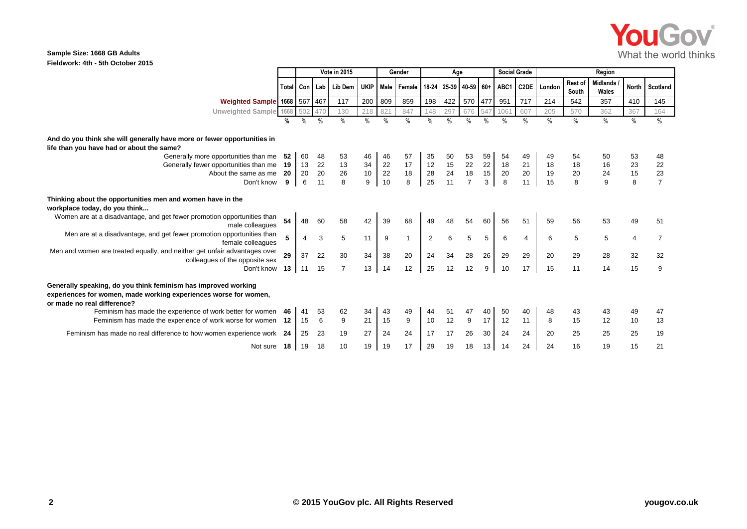

## **Sample Size: 1668 GB Adults Fieldwork: 4th - 5th October 2015**

|                                                                                                                                                                   |     | Vote in 2015  |                 |                |          |               | Gender                 |                | Age           |                 |               | <b>Social Grade</b> |                   | Region   |                  |                          |                |                |
|-------------------------------------------------------------------------------------------------------------------------------------------------------------------|-----|---------------|-----------------|----------------|----------|---------------|------------------------|----------------|---------------|-----------------|---------------|---------------------|-------------------|----------|------------------|--------------------------|----------------|----------------|
|                                                                                                                                                                   |     | Total Con Lab |                 | Lib Dem        |          |               | UKIP Male Female 18-24 |                |               | 25-39 40-59 60+ |               | ABC1                | C <sub>2</sub> DE | London   | Rest of<br>South | <b>Midlands</b><br>Wales | <b>North</b>   | Scotland       |
| Weighted Sample 1668 567 467                                                                                                                                      |     |               |                 | 117            | 200      | 809           | 859                    | 198            | 422           | 570             | 477           | 951                 | 717               | 214      | 542              | 357                      | 410            | 145            |
| Unweighted Sample 1668 502                                                                                                                                        |     |               | 47 <sub>C</sub> | 130            | 218      | 821           | 847                    | 148            | 297           | 676             | 547           | 1061                | 607               | 205      | 570              | 362                      | 367            | 164            |
|                                                                                                                                                                   |     | $\frac{0}{0}$ | $\frac{0}{0}$   | $\frac{0}{0}$  | $\%$     | $\frac{0}{0}$ | $\frac{0}{0}$          | $\%$           | $\frac{0}{0}$ | $\frac{0}{0}$   | $\frac{0}{0}$ | $\frac{0}{0}$       | $\%$              | $\%$     | $\frac{0}{0}$    | %                        | $\%$           | $\frac{0}{0}$  |
| And do you think she will generally have more or fewer opportunities in                                                                                           |     |               |                 |                |          |               |                        |                |               |                 |               |                     |                   |          |                  |                          |                |                |
| life than you have had or about the same?                                                                                                                         |     |               |                 |                |          |               |                        |                |               |                 |               |                     |                   |          |                  |                          |                |                |
| Generally more opportunities than me                                                                                                                              | -52 | 60            | 48              | 53             | 46       | 46            | 57<br>17               | 35             | 50            | 53              | 59            | 54<br>18            | 49                | 49       | 54               | 50                       | 53             | 48             |
| Generally fewer opportunities than me 19<br>About the same as me                                                                                                  | -20 | 13<br>20      | 22<br>20        | 13<br>26       | 34<br>10 | 22<br>22      | 18                     | 12<br>28       | 15<br>24      | 22<br>18        | 22<br>15      | 20                  | 21<br>20          | 18<br>19 | 18<br>20         | 16<br>24                 | 23<br>15       | 22<br>23       |
| Don't know                                                                                                                                                        | 9   | 6             |                 | 8              | 9        | 10            | 8                      | 25             | 11            | $\overline{7}$  | 3             | 8                   | 11                | 15       | 8                | 9                        | 8              | $\overline{7}$ |
| Thinking about the opportunities men and women have in the<br>workplace today, do you think                                                                       |     |               |                 |                |          |               |                        |                |               |                 |               |                     |                   |          |                  |                          |                |                |
| Women are at a disadvantage, and get fewer promotion opportunities than<br>male colleagues                                                                        | 54  | 48            | 60              | 58             | 42       | 39            | 68                     | 49             |               | 54              | 60            | 56                  | 51                | 59       | 56               | 53                       | 49             | 51             |
| Men are at a disadvantage, and get fewer promotion opportunities than<br>female colleagues                                                                        |     | 4             | 3               | 5              | 11       | 9             | $\mathbf{1}$           | $\overline{2}$ | 6             | 5               | 5             | 6                   | 4                 | 6        | 5                | 5                        | $\overline{4}$ | $\overline{7}$ |
| Men and women are treated equally, and neither get unfair advantages over<br>colleagues of the opposite sex                                                       | 29  | 37            | 22              | 30             | 34       | 38            | 20                     | 24             | 34            | 28              | 26            | 29                  | 29                | 20       | 29               | 28                       | 32             | 32             |
| Don't know                                                                                                                                                        | 13  | 11            | 15              | $\overline{7}$ | 13       | 14            | 12                     | 25             | 12            | 12              | 9             | 10                  | 17                | 15       | 11               | 14                       | 15             | 9              |
| Generally speaking, do you think feminism has improved working<br>experiences for women, made working experiences worse for women,<br>or made no real difference? |     |               |                 |                |          |               |                        |                |               |                 |               |                     |                   |          |                  |                          |                |                |
| Feminism has made the experience of work better for women<br>Feminism has made the experience of work worse for women 12                                          | 46  | 41<br>15      | 53<br>6         | 62<br>9        | 34<br>21 | 43<br>15      | 49<br>9                | 44<br>10       | 51<br>12      | 47<br>9         | 40<br>17      | 50<br>12            | 40<br>11          | 48<br>8  | 43<br>15         | 43<br>12                 | 49<br>10       | 47<br>13       |
| Feminism has made no real difference to how women experience work 24                                                                                              |     | 25            | 23              | 19             | 27       | 24            | 24                     | 17             | 17            | 26              | 30            | 24                  | 24                | 20       | 25               | 25                       | 25             | 19             |
| Not sure 18                                                                                                                                                       |     | 19            | 18              | 10             | 19       | 19            | 17                     | 29             | 19            | 18              | 13            | 14                  | 24                | 24       | 16               | 19                       | 15             | 21             |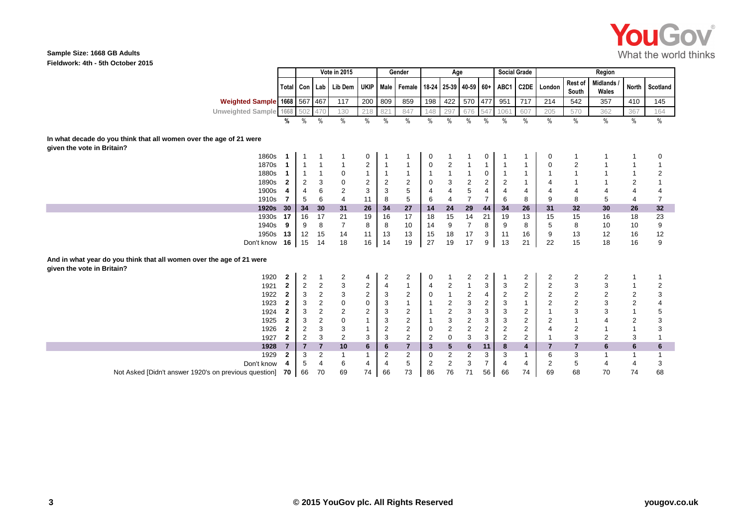

## **Sample Size: 1668 GB Adults Fieldwork: 4th - 5th October 2015**

|                                                                                                    |              | <b>Vote in 2015</b>     |                |                  | Gender                  |                |                                             | Age            |                |                           | <b>Social Grade</b> |                | Region            |                  |                  |                          |                |                |
|----------------------------------------------------------------------------------------------------|--------------|-------------------------|----------------|------------------|-------------------------|----------------|---------------------------------------------|----------------|----------------|---------------------------|---------------------|----------------|-------------------|------------------|------------------|--------------------------|----------------|----------------|
|                                                                                                    |              | Total Con               | Lab            | Lib Dem          | UKIP                    |                | Male   Female   18-24   25-39   40-59   60+ |                |                |                           |                     | ABC1           | C <sub>2</sub> DE | London           | Rest of<br>South | <b>Midlands</b><br>Wales | North          | Scotland       |
| Weighted Sample 1668 567 467                                                                       |              |                         |                | 117              | 200                     | 809            | 859                                         | 198            | 422            | 570                       | 477                 | 951            | 717               | 214              | 542              | 357                      | 410            | 145            |
| Unweighted Sample 1668 502                                                                         |              |                         | 470            | 130              | 218                     | 821            | 847                                         | 148            | 297            | 676                       | 547                 | 1061           | 607               | 205              | 570              | 362                      | 367            | 164            |
|                                                                                                    | %            | $\%$                    | $\%$           | $\frac{0}{0}$    | $\frac{0}{0}$           | $\%$           | $\frac{0}{0}$                               | $\%$           | $\frac{0}{0}$  | $\frac{0}{0}$             | $\%$                | $\%$           | $\%$              | $\frac{0}{0}$    | $\frac{0}{0}$    | $\%$                     | $\%$           | $\%$           |
| In what decade do you think that all women over the age of 21 were<br>given the vote in Britain?   |              |                         |                |                  |                         |                |                                             |                |                |                           |                     |                |                   |                  |                  |                          |                |                |
| 1860s                                                                                              |              | 1                       |                |                  | 0                       |                |                                             | 0              |                |                           | 0                   |                |                   | 0                |                  |                          | 1              | 0              |
| 1870s                                                                                              |              | $\mathbf{1}$            |                |                  | $\mathbf 2$             | $\overline{1}$ |                                             | $\pmb{0}$      | $\overline{c}$ | -1                        |                     |                |                   | $\boldsymbol{0}$ | $\overline{2}$   |                          | $\mathbf{1}$   | 1              |
| 1880s                                                                                              |              | $\mathbf{1}$            |                | 0                | $\mathbf{1}$            | $\overline{1}$ |                                             | $\mathbf{1}$   | $\mathbf{1}$   | $\overline{1}$            | $\mathbf 0$         |                |                   | -1               |                  |                          | $\mathbf{1}$   | $\overline{2}$ |
| 1890s                                                                                              | 2            | $\overline{2}$          | 3              | 0                | $\overline{2}$          | $\overline{2}$ | 2                                           | 0              | 3              | $\boldsymbol{2}$          | 2                   | 2              |                   | $\overline{4}$   |                  |                          | $\overline{c}$ |                |
| 1900s                                                                                              |              | 4                       | 6              | $\overline{c}$   | 3                       | 3              | 5                                           | $\overline{4}$ | $\overline{4}$ | 5                         | 4                   | 4              | 4                 | 4                |                  | 4                        | 4              | 4              |
| 1910s                                                                                              | 7            | 5                       | 6              | $\overline{4}$   | 11                      | 8              | 5                                           | 6              | 4              | $\overline{7}$            | $\overline{7}$      | 6              | 8                 | 9                | 8                | 5                        | $\overline{4}$ | $\overline{7}$ |
| <b>1920s</b>                                                                                       | 30           | 34                      | 30             | 31               | 26                      | 34             | 27                                          | 14             | 24             | 29                        | 44                  | 34             | 26                | 31               | 32               | 30                       | 26             | 32             |
| 1930s                                                                                              | 17           | 16                      | 17             | 21               | 19                      | 16             | 17                                          | 18             | 15             | 14                        | 21                  | 19             | 13                | 15               | 15               | 16                       | 18             | 23             |
| 1940s                                                                                              | 9            | 9                       | 8              | $\overline{7}$   | 8                       | 8              | 10                                          | 14             | 9              | $\overline{7}$            | 8                   | 9              | 8                 | 5                | 8                | 10                       | 10             | 9              |
| 1950s                                                                                              | 13           | 12                      | 15             | 14               | 11                      | 13             | 13                                          | 15             | 18             | 17                        | 3                   | 11             | 16                | 9                | 13               | 12                       | 16             | 12             |
| Don't know                                                                                         | 16           | 15                      | 14             | 18               | 16                      | 14             | 19                                          | 27             | 19             | 17                        | 9                   | 13             | 21                | 22               | 15               | 18                       | 16             | 9              |
| And in what year do you think that all women over the age of 21 were<br>given the vote in Britain? |              |                         |                |                  |                         |                |                                             |                |                |                           |                     |                |                   |                  |                  |                          |                |                |
| 1920                                                                                               | $\mathbf{2}$ | $\overline{\mathbf{c}}$ | 1              | $\overline{c}$   | 4                       | $\overline{2}$ | $\overline{2}$                              | 0              |                | $\overline{c}$            | 2                   |                | $\overline{2}$    | 2                | $\overline{2}$   | $\overline{2}$           | $\mathbf{1}$   |                |
| 1921                                                                                               | $\mathbf{2}$ | $\boldsymbol{2}$        | 2              | 3                | $\overline{\mathbf{c}}$ | $\overline{4}$ | $\mathbf{1}$                                | $\overline{4}$ | 2              | $\mathbf{1}$              | 3                   | 3              | $\overline{c}$    | $\overline{c}$   | 3                | 3                        | 1              | 2              |
| 1922                                                                                               | $\mathbf{2}$ | 3                       | $\overline{c}$ | 3                | $\overline{2}$          | 3              | $\overline{2}$                              | $\mathbf 0$    | $\mathbf{1}$   | $\overline{\mathbf{c}}$   | 4                   | $\overline{c}$ | $\overline{2}$    | $\overline{c}$   | $\overline{c}$   | $\overline{2}$           | $\overline{c}$ | 3              |
| 1923                                                                                               | $\mathbf{2}$ | 3                       | $\overline{c}$ | $\boldsymbol{0}$ | 0                       | 3              | $\mathbf{1}$                                | 1              | 2              | 3                         | $\overline{2}$      | 3              |                   | $\overline{c}$   | $\overline{2}$   | 3                        | $\sqrt{2}$     | 4              |
| 1924                                                                                               | $\mathbf{2}$ | 3                       | $\overline{c}$ | $\mathbf 2$      | $\overline{2}$          | 3              | $\overline{2}$                              | $\mathbf{1}$   | $\overline{c}$ | $\ensuremath{\mathsf{3}}$ | $\mathbf{3}$        | 3              | $\overline{2}$    | $\mathbf{1}$     | 3                | 3                        | $\mathbf{1}$   | 5              |
| 1925                                                                                               | 2            | 3                       | $\overline{c}$ | $\mathbf 0$      | $\mathbf{1}$            | 3              | $\mathbf 2$                                 | 1              | 3              | $\sqrt{2}$                | 3                   | 3              | $\mathbf 2$       | $\overline{2}$   |                  | $\overline{4}$           | $\sqrt{2}$     | 3              |
| 1926                                                                                               | $\mathbf{2}$ | $\overline{2}$          | 3              | 3                | 1                       | 2              | $\overline{2}$                              | 0              | $\overline{2}$ | $\overline{2}$            | $\overline{2}$      | 2              | $\overline{2}$    | $\overline{4}$   | $\overline{2}$   |                          | $\mathbf{1}$   | 3              |
| 1927                                                                                               | $\mathbf 2$  | $\overline{2}$          | 3              | $\overline{2}$   | 3                       | 3              | 2                                           | $\overline{2}$ | $\mathbf 0$    | 3                         | 3                   | $\overline{2}$ | 2                 | $\overline{1}$   | 3                | 2                        | 3              |                |
| 1928                                                                                               | 7            | $\overline{7}$          | $\overline{7}$ | 10               | 6                       | 6              | $\overline{7}$                              | 3              | 5              | $6\phantom{1}6$           | 11                  | 8              | $\overline{4}$    | $\overline{7}$   | $\overline{7}$   | 6                        | 6              | $\bf 6$        |
| 1929                                                                                               | $\mathbf{2}$ | 3                       | $\overline{2}$ | -1               | $\mathbf 1$             | 2              | $\overline{2}$                              | 0              | $\overline{2}$ | $\overline{2}$            | 3                   | 3              |                   | 6                | 3                |                          | 1              | 1              |
| Don't know                                                                                         |              | 5                       | 4              | 6                | 4                       | 4              | 5                                           | 2              | 2              | 3                         | 7                   |                | 4                 | 2                | 5                | $\overline{4}$           | 4              | 3              |
| Not Asked [Didn't answer 1920's on previous question]                                              | 70           | 66                      | 70             | 69               | 74                      | 66             | 73                                          | 86             | 76             | 71                        | 56                  | 66             | 74                | 69               | 68               | 70                       | 74             | 68             |